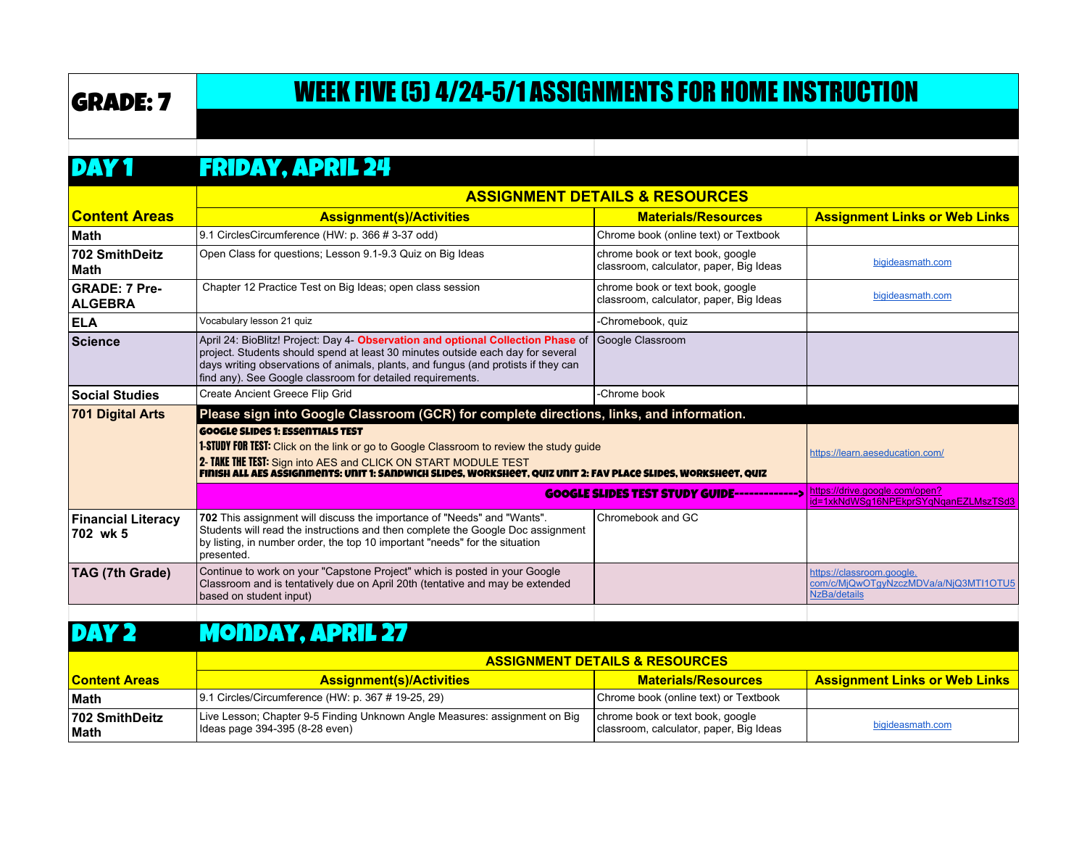# GRADE: 7 WEEK FIVE (5) 4/24-5/1 ASSIGNMENTS FOR HOME INSTRUCTION

#### DAY 1 FRIDAY, APRIL 24

|                                        | <b>ASSIGNMENT DETAILS &amp; RESOURCES</b>                                                                                                                                                                                                                                                                                     |                                                                             |                                                                                    |
|----------------------------------------|-------------------------------------------------------------------------------------------------------------------------------------------------------------------------------------------------------------------------------------------------------------------------------------------------------------------------------|-----------------------------------------------------------------------------|------------------------------------------------------------------------------------|
| <b>Content Areas</b>                   | <b>Assignment(s)/Activities</b>                                                                                                                                                                                                                                                                                               | <b>Materials/Resources</b>                                                  | <b>Assignment Links or Web Links</b>                                               |
| ∣Math                                  | 9.1 CirclesCircumference (HW: p. 366 # 3-37 odd)                                                                                                                                                                                                                                                                              | Chrome book (online text) or Textbook                                       |                                                                                    |
| 702 SmithDeitz<br>∣Math                | Open Class for questions; Lesson 9.1-9.3 Quiz on Big Ideas                                                                                                                                                                                                                                                                    | chrome book or text book, google<br>classroom, calculator, paper, Big Ideas | bigideasmath.com                                                                   |
| <b>GRADE: 7 Pre-</b><br><b>ALGEBRA</b> | Chapter 12 Practice Test on Big Ideas; open class session                                                                                                                                                                                                                                                                     | chrome book or text book, google<br>classroom, calculator, paper, Big Ideas | bigideasmath.com                                                                   |
| <b>ELA</b>                             | Vocabulary lesson 21 quiz                                                                                                                                                                                                                                                                                                     | -Chromebook, quiz                                                           |                                                                                    |
| ∣Science                               | April 24: BioBlitz! Project: Day 4- Observation and optional Collection Phase of<br>project. Students should spend at least 30 minutes outside each day for several<br>days writing observations of animals, plants, and fungus (and protists if they can<br>find any). See Google classroom for detailed requirements.       | Google Classroom                                                            |                                                                                    |
| <b>Social Studies</b>                  | Create Ancient Greece Flip Grid                                                                                                                                                                                                                                                                                               | -Chrome book                                                                |                                                                                    |
| 701 Digital Arts                       | Please sign into Google Classroom (GCR) for complete directions, links, and information.                                                                                                                                                                                                                                      |                                                                             |                                                                                    |
|                                        | <b>GOOGLE SLIDES 1: ESSENTIALS TEST</b><br><b>1-STUDY FOR TEST:</b> Click on the link or go to Google Classroom to review the study guide<br>2- TAKE THE TEST: Sign into AES and CLICK ON START MODULE TEST<br>FINISH ALL AES ASSIGNMENTS: UNIT 1: SANDWICH SLIDES, WORKSHEET, QUIZ UNIT 2: FAV PLACE SLIDES, WORKSHEET, QUIZ |                                                                             | https://learn.aeseducation.com/                                                    |
|                                        |                                                                                                                                                                                                                                                                                                                               | <b>GOOGLE SLIDES TEST STUDY GUIDE-------------&gt;</b>                      | https://drive.google.com/open?<br>id=1xkNdWSq16NPEkprSYqNqanEZLMszTSd3             |
| <b>Financial Literacy</b><br>∣702 wk 5 | 702 This assignment will discuss the importance of "Needs" and "Wants".<br>Students will read the instructions and then complete the Google Doc assignment<br>by listing, in number order, the top 10 important "needs" for the situation<br>presented.                                                                       | Chromebook and GC                                                           |                                                                                    |
| TAG (7th Grade)                        | Continue to work on your "Capstone Project" which is posted in your Google<br>Classroom and is tentatively due on April 20th (tentative and may be extended<br>based on student input)                                                                                                                                        |                                                                             | https://classroom.google.<br>com/c/MjQwOTqyNzczMDVa/a/NjQ3MTI1OTU5<br>NzBa/details |

### DAY 2 Monday, April 27

|                                 | <b>ASSIGNMENT DETAILS &amp; RESOURCES</b>                                                                    |                                                                             |                                      |
|---------------------------------|--------------------------------------------------------------------------------------------------------------|-----------------------------------------------------------------------------|--------------------------------------|
| <u><b>Content Areas</b></u>     | <b>Assignment(s)/Activities</b>                                                                              | <b>Materials/Resources</b>                                                  | <b>Assignment Links or Web Links</b> |
| <b>Math</b>                     | 9.1 Circles/Circumference (HW: p. 367 # 19-25, 29)                                                           | Chrome book (online text) or Textbook                                       |                                      |
| <b>1702 SmithDeitz</b><br> Math | Live Lesson; Chapter 9-5 Finding Unknown Angle Measures: assignment on Big<br>Ideas page 394-395 (8-28 even) | chrome book or text book, google<br>classroom, calculator, paper, Big Ideas | bigideasmath.com                     |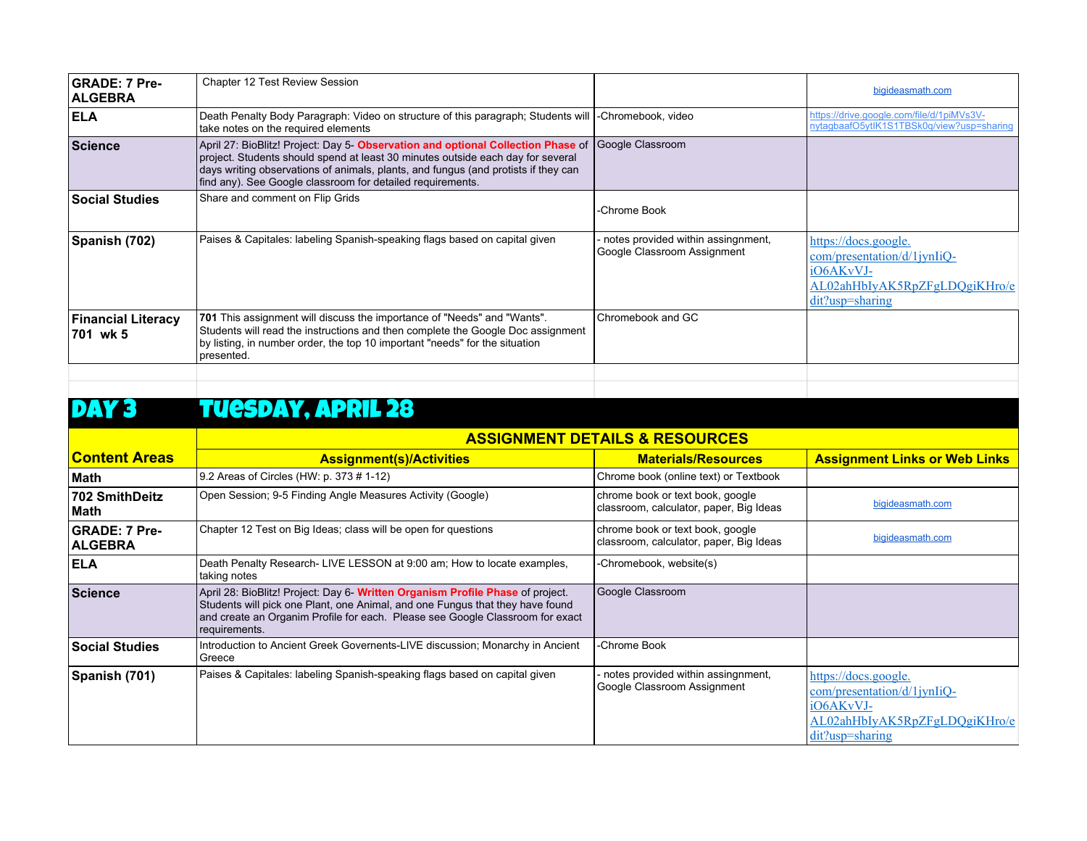| <b>GRADE: 7 Pre-</b><br><b>ALGEBRA</b> | <b>Chapter 12 Test Review Session</b>                                                                                                                                                                                                                                                                                   |                                                                   | bigideasmath.com                                                                                                                |
|----------------------------------------|-------------------------------------------------------------------------------------------------------------------------------------------------------------------------------------------------------------------------------------------------------------------------------------------------------------------------|-------------------------------------------------------------------|---------------------------------------------------------------------------------------------------------------------------------|
| <b>IELA</b>                            | Death Penalty Body Paragraph: Video on structure of this paragraph; Students will  -Chromebook, video<br>take notes on the required elements                                                                                                                                                                            |                                                                   | https://drive.google.com/file/d/1piMVs3V-<br>nytagbaafO5ytIK1S1TBSk0g/view?usp=sharing                                          |
| <b>Science</b>                         | April 27: BioBlitz! Project: Day 5- Observation and optional Collection Phase of<br>project. Students should spend at least 30 minutes outside each day for several<br>days writing observations of animals, plants, and fungus (and protists if they can<br>find any). See Google classroom for detailed requirements. | Google Classroom                                                  |                                                                                                                                 |
| <b>Social Studies</b>                  | Share and comment on Flip Grids                                                                                                                                                                                                                                                                                         | -Chrome Book                                                      |                                                                                                                                 |
| Spanish (702)                          | Paises & Capitales: labeling Spanish-speaking flags based on capital given                                                                                                                                                                                                                                              | notes provided within assingnment,<br>Google Classroom Assignment | https://docs.google.<br>$com/presentation/d/1$ jyn $I$ iQ-<br>iO6AKvVJ-<br>AL02ahHbIyAK5RpZFgLDQgiKHro/e<br>$dit?usp = sharing$ |
| <b>Financial Literacy</b><br>701 wk 5  | 701 This assignment will discuss the importance of "Needs" and "Wants".<br>Students will read the instructions and then complete the Google Doc assignment<br>by listing, in number order, the top 10 important "needs" for the situation<br>presented.                                                                 | Chromebook and GC                                                 |                                                                                                                                 |
|                                        |                                                                                                                                                                                                                                                                                                                         |                                                                   |                                                                                                                                 |

## DAY 3 TUESDAY, APRIL 28

|                                        | <b>ASSIGNMENT DETAILS &amp; RESOURCES</b>                                                                                                                                                                                                                         |                                                                             |                                                                                                                             |
|----------------------------------------|-------------------------------------------------------------------------------------------------------------------------------------------------------------------------------------------------------------------------------------------------------------------|-----------------------------------------------------------------------------|-----------------------------------------------------------------------------------------------------------------------------|
| <b>Content Areas</b>                   | <b>Assignment(s)/Activities</b>                                                                                                                                                                                                                                   | <b>Materials/Resources</b>                                                  | <b>Assignment Links or Web Links</b>                                                                                        |
| Math                                   | 9.2 Areas of Circles (HW: p. 373 # 1-12)                                                                                                                                                                                                                          | Chrome book (online text) or Textbook                                       |                                                                                                                             |
| 702 SmithDeitz<br>Math                 | Open Session; 9-5 Finding Angle Measures Activity (Google)                                                                                                                                                                                                        | chrome book or text book, google<br>classroom, calculator, paper, Big Ideas | bigideasmath.com                                                                                                            |
| <b>GRADE: 7 Pre-</b><br><b>ALGEBRA</b> | Chapter 12 Test on Big Ideas; class will be open for questions                                                                                                                                                                                                    | chrome book or text book, google<br>classroom, calculator, paper, Big Ideas | bigideasmath.com                                                                                                            |
| <b>IELA</b>                            | Death Penalty Research- LIVE LESSON at 9:00 am; How to locate examples,<br>taking notes                                                                                                                                                                           | -Chromebook, website(s)                                                     |                                                                                                                             |
| <b>Science</b>                         | April 28: BioBlitz! Project: Day 6- Written Organism Profile Phase of project.<br>Students will pick one Plant, one Animal, and one Fungus that they have found<br>and create an Organim Profile for each. Please see Google Classroom for exact<br>requirements. | Google Classroom                                                            |                                                                                                                             |
| <b>Social Studies</b>                  | Introduction to Ancient Greek Governents-LIVE discussion; Monarchy in Ancient<br>Greece                                                                                                                                                                           | -Chrome Book                                                                |                                                                                                                             |
| Spanish (701)                          | Paises & Capitales: labeling Spanish-speaking flags based on capital given                                                                                                                                                                                        | notes provided within assingnment,<br>Google Classroom Assignment           | https://docs.google.<br>$com/presentation/d/1$ jyn $I$ iQ-<br>iO6AKvVJ-<br>AL02ahHbIyAK5RpZFgLDQgiKHro/e<br>dit?usp=sharing |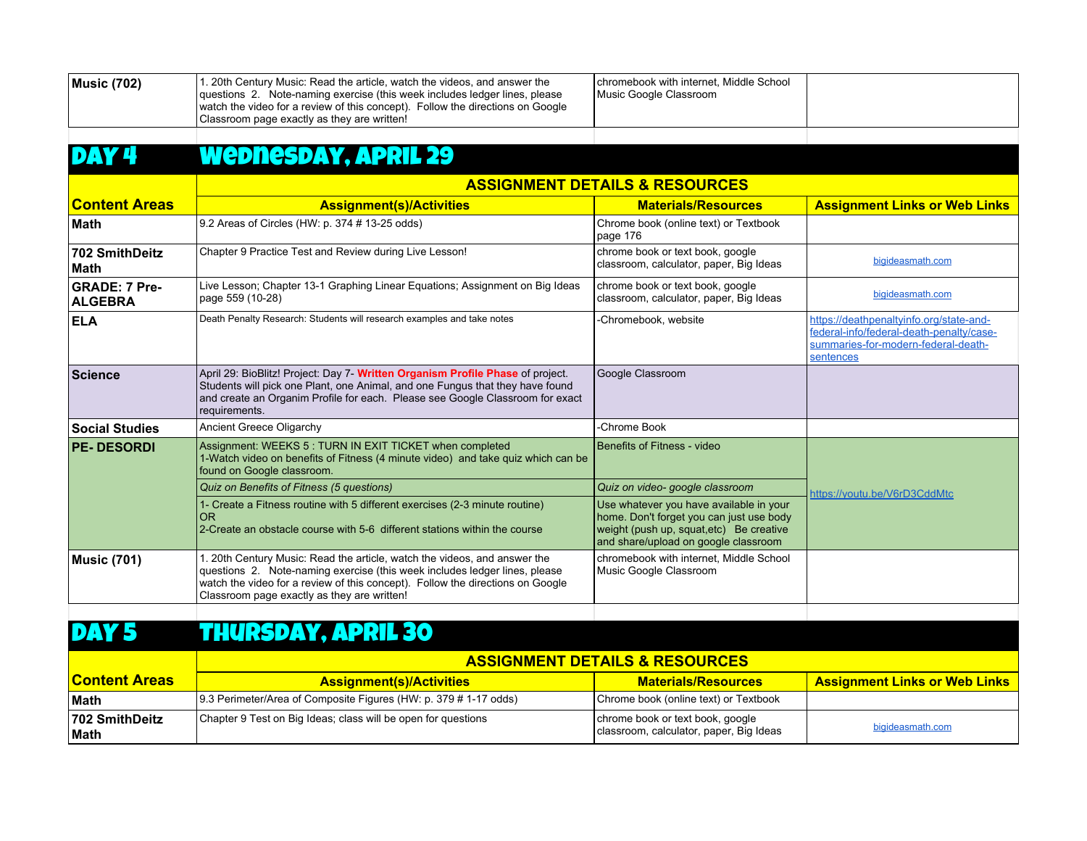| <b>Music (702)</b>                     | 1. 20th Century Music: Read the article, watch the videos, and answer the<br>questions 2. Note-naming exercise (this week includes ledger lines, please<br>watch the video for a review of this concept). Follow the directions on Google<br>Classroom page exactly as they are written! | chromebook with internet. Middle School<br>Music Google Classroom                                                                                                       |                                                                                                                                         |
|----------------------------------------|------------------------------------------------------------------------------------------------------------------------------------------------------------------------------------------------------------------------------------------------------------------------------------------|-------------------------------------------------------------------------------------------------------------------------------------------------------------------------|-----------------------------------------------------------------------------------------------------------------------------------------|
| DAY4                                   | <b>Wednesday, APRIL 29</b>                                                                                                                                                                                                                                                               |                                                                                                                                                                         |                                                                                                                                         |
|                                        |                                                                                                                                                                                                                                                                                          | <b>ASSIGNMENT DETAILS &amp; RESOURCES</b>                                                                                                                               |                                                                                                                                         |
| <b>Content Areas</b>                   | <b>Assignment(s)/Activities</b>                                                                                                                                                                                                                                                          | <b>Materials/Resources</b>                                                                                                                                              | <b>Assignment Links or Web Links</b>                                                                                                    |
| ∣Math                                  | 9.2 Areas of Circles (HW: p. 374 # 13-25 odds)                                                                                                                                                                                                                                           | Chrome book (online text) or Textbook<br>page 176                                                                                                                       |                                                                                                                                         |
| 702 SmithDeitz<br><b>Math</b>          | Chapter 9 Practice Test and Review during Live Lesson!                                                                                                                                                                                                                                   | chrome book or text book, google<br>classroom, calculator, paper, Big Ideas                                                                                             | bigideasmath.com                                                                                                                        |
| <b>GRADE: 7 Pre-</b><br><b>ALGEBRA</b> | Live Lesson; Chapter 13-1 Graphing Linear Equations; Assignment on Big Ideas<br>page 559 (10-28)                                                                                                                                                                                         | chrome book or text book, google<br>classroom, calculator, paper, Big Ideas                                                                                             | bigideasmath.com                                                                                                                        |
| <b>ELA</b>                             | Death Penalty Research: Students will research examples and take notes                                                                                                                                                                                                                   | -Chromebook, website                                                                                                                                                    | https://deathpenaltyinfo.org/state-and-<br>federal-info/federal-death-penalty/case-<br>summaries-for-modern-federal-death-<br>sentences |
| <b>Science</b>                         | April 29: BioBlitz! Project: Day 7- Written Organism Profile Phase of project.<br>Students will pick one Plant, one Animal, and one Fungus that they have found<br>and create an Organim Profile for each. Please see Google Classroom for exact<br>requirements.                        | Google Classroom                                                                                                                                                        |                                                                                                                                         |
| <b>Social Studies</b>                  | Ancient Greece Oligarchy                                                                                                                                                                                                                                                                 | -Chrome Book                                                                                                                                                            |                                                                                                                                         |
| <b>PE-DESORDI</b>                      | Assignment: WEEKS 5 : TURN IN EXIT TICKET when completed<br>1-Watch video on benefits of Fitness (4 minute video) and take quiz which can be<br>found on Google classroom.                                                                                                               | Benefits of Fitness - video                                                                                                                                             |                                                                                                                                         |
|                                        | Quiz on Benefits of Fitness (5 questions)                                                                                                                                                                                                                                                | Quiz on video- google classroom                                                                                                                                         | https://youtu.be/V6rD3CddMtc                                                                                                            |
|                                        | 1- Create a Fitness routine with 5 different exercises (2-3 minute routine)<br><b>OR</b><br>2-Create an obstacle course with 5-6 different stations within the course                                                                                                                    | Use whatever you have available in your<br>home. Don't forget you can just use body<br>weight (push up, squat, etc) Be creative<br>and share/upload on google classroom |                                                                                                                                         |
| <b>Music (701)</b>                     | 1. 20th Century Music: Read the article, watch the videos, and answer the<br>questions 2. Note-naming exercise (this week includes ledger lines, please<br>watch the video for a review of this concept). Follow the directions on Google<br>Classroom page exactly as they are written! | chromebook with internet. Middle School<br>Music Google Classroom                                                                                                       |                                                                                                                                         |

## DAY 5 THURSDAY, APRIL 30

|                                | <b>ASSIGNMENT DETAILS &amp; RESOURCES</b>                        |                                                                             |                                      |
|--------------------------------|------------------------------------------------------------------|-----------------------------------------------------------------------------|--------------------------------------|
| <u>IContent Areas</u>          | <b>Assignment(s)/Activities</b>                                  | <b>Materials/Resources</b>                                                  | <b>Assignment Links or Web Links</b> |
| <b>Math</b>                    | 9.3 Perimeter/Area of Composite Figures (HW: p. 379 # 1-17 odds) | Chrome book (online text) or Textbook                                       |                                      |
| <b>702 SmithDeitz</b><br>∣Math | Chapter 9 Test on Big Ideas; class will be open for questions    | chrome book or text book, google<br>classroom, calculator, paper, Big Ideas | bigideasmath.com                     |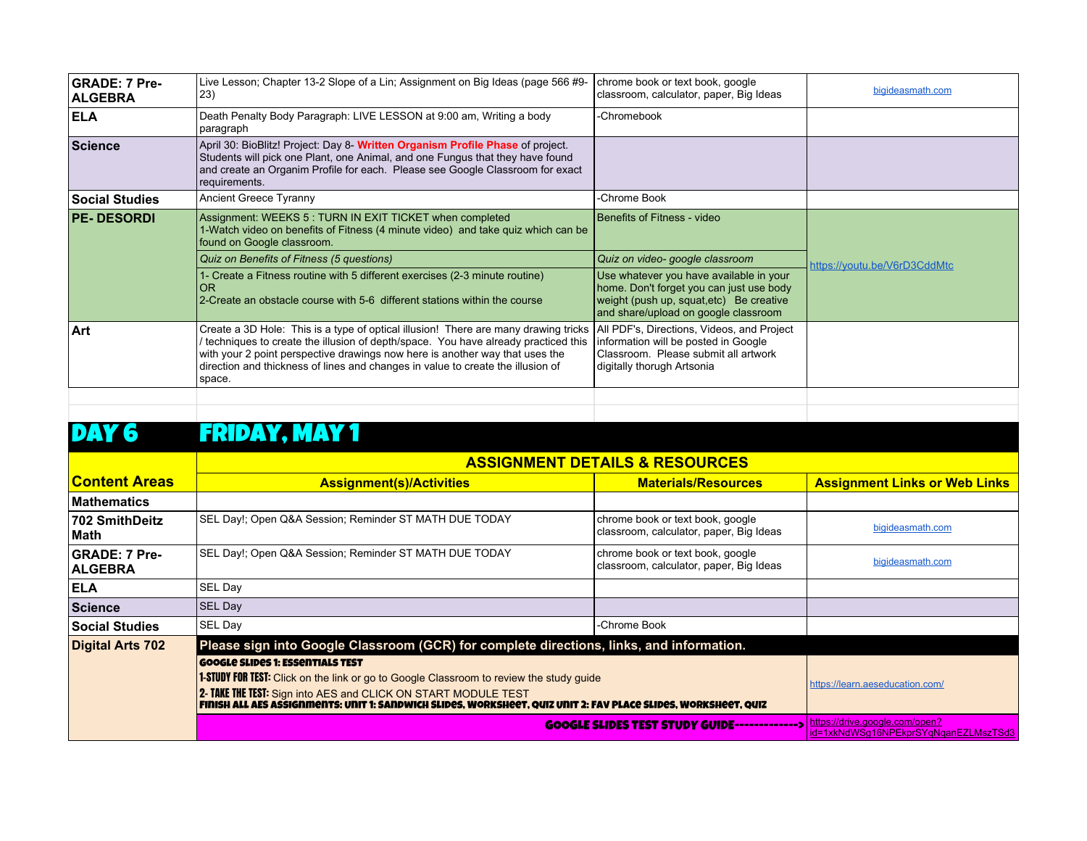| <b>GRADE: 7 Pre-</b><br><b>ALGEBRA</b> | Live Lesson; Chapter 13-2 Slope of a Lin; Assignment on Big Ideas (page 566 #9-<br>23)                                                                                                                                                                                                                                                                | chrome book or text book, google<br>classroom, calculator, paper, Big Ideas                                                                                             | bigideasmath.com             |
|----------------------------------------|-------------------------------------------------------------------------------------------------------------------------------------------------------------------------------------------------------------------------------------------------------------------------------------------------------------------------------------------------------|-------------------------------------------------------------------------------------------------------------------------------------------------------------------------|------------------------------|
| <b>ELA</b>                             | Death Penalty Body Paragraph: LIVE LESSON at 9:00 am, Writing a body<br>paragraph                                                                                                                                                                                                                                                                     | -Chromebook                                                                                                                                                             |                              |
| <b>Science</b>                         | April 30: BioBlitz! Project: Day 8- Written Organism Profile Phase of project.<br>Students will pick one Plant, one Animal, and one Fungus that they have found<br>and create an Organim Profile for each. Please see Google Classroom for exact<br>requirements.                                                                                     |                                                                                                                                                                         |                              |
| <b>Social Studies</b>                  | Ancient Greece Tyranny                                                                                                                                                                                                                                                                                                                                | -Chrome Book                                                                                                                                                            |                              |
| <b>PE-DESORDI</b>                      | Assignment: WEEKS 5 : TURN IN EXIT TICKET when completed<br>1-Watch video on benefits of Fitness (4 minute video) and take quiz which can be<br>found on Google classroom.                                                                                                                                                                            | Benefits of Fitness - video                                                                                                                                             |                              |
|                                        | Quiz on Benefits of Fitness (5 questions)                                                                                                                                                                                                                                                                                                             | Quiz on video- google classroom                                                                                                                                         | https://youtu.be/V6rD3CddMtc |
|                                        | 1- Create a Fitness routine with 5 different exercises (2-3 minute routine)<br>0 <sub>R</sub><br>2-Create an obstacle course with 5-6 different stations within the course                                                                                                                                                                            | Use whatever you have available in your<br>home. Don't forget you can just use body<br>weight (push up, squat, etc) Be creative<br>and share/upload on google classroom |                              |
| Art                                    | Create a 3D Hole: This is a type of optical illusion! There are many drawing tricks<br>techniques to create the illusion of depth/space. You have already practiced this<br>with your 2 point perspective drawings now here is another way that uses the<br>direction and thickness of lines and changes in value to create the illusion of<br>space. | All PDF's, Directions, Videos, and Project<br>information will be posted in Google<br>Classroom. Please submit all artwork<br>digitally thorugh Artsonia                |                              |
|                                        |                                                                                                                                                                                                                                                                                                                                                       |                                                                                                                                                                         |                              |

#### DAY 6 FRIDAY, MAY 1

#### **ASSIGNMENT DETAILS & RESOURCES**

| <u>lContent Areas</u>                  | <b>Assignment(s)/Activities</b>                                                                                                                                                                                                                                                                                               | <b>Materials/Resources</b>                                                  | <b>Assignment Links or Web Links</b>                                   |
|----------------------------------------|-------------------------------------------------------------------------------------------------------------------------------------------------------------------------------------------------------------------------------------------------------------------------------------------------------------------------------|-----------------------------------------------------------------------------|------------------------------------------------------------------------|
| Mathematics                            |                                                                                                                                                                                                                                                                                                                               |                                                                             |                                                                        |
| 702 SmithDeitz<br>∣Math                | SEL Day!; Open Q&A Session; Reminder ST MATH DUE TODAY                                                                                                                                                                                                                                                                        | chrome book or text book, google<br>classroom, calculator, paper, Big Ideas | bigideasmath.com                                                       |
| <b>GRADE: 7 Pre-</b><br><b>ALGEBRA</b> | SEL Day!; Open Q&A Session; Reminder ST MATH DUE TODAY                                                                                                                                                                                                                                                                        | chrome book or text book, google<br>classroom, calculator, paper, Big Ideas | bigideasmath.com                                                       |
| <b>ELA</b>                             | SEL Day                                                                                                                                                                                                                                                                                                                       |                                                                             |                                                                        |
| Science                                | <b>SEL Day</b>                                                                                                                                                                                                                                                                                                                |                                                                             |                                                                        |
| <b>Social Studies</b>                  | SEL Day                                                                                                                                                                                                                                                                                                                       | -Chrome Book                                                                |                                                                        |
| Digital Arts 702                       | Please sign into Google Classroom (GCR) for complete directions, links, and information.                                                                                                                                                                                                                                      |                                                                             |                                                                        |
|                                        | <b>GOOGLE SLIDES 1: ESSENTIALS TEST</b><br><b>1-STUDY FOR TEST:</b> Click on the link or go to Google Classroom to review the study guide<br>2- TAKE THE TEST: Sign into AES and CLICK ON START MODULE TEST<br>FINISH ALL AES ASSIGNMENTS: UNIT 1: SANDWICH SLIDES, WORKSHEET, QUIZ UNIT 2: FAV PLACE SLIDES, WORKSHEET, QUIZ |                                                                             | https://learn.aeseducation.com/                                        |
|                                        |                                                                                                                                                                                                                                                                                                                               | <b>GOOGLE SLIDES TEST STUDY GUIDE-------------&gt;</b>                      | https://drive.google.com/open?<br>id=1xkNdWSg16NPEkprSYqNganEZLMszTSd3 |